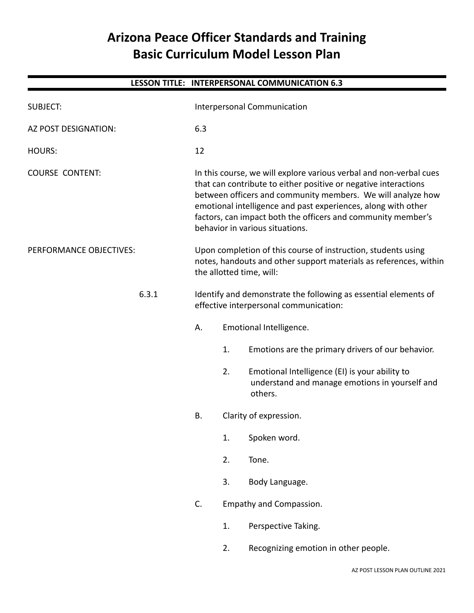# **Arizona Peace Officer Standards and Training Basic Curriculum Model Lesson Plan**

|                             |       |                                                                                                                                                                                                                                                                                                                                                                          |                         | LESSON TITLE: INTERPERSONAL COMMUNICATION 6.3                                                               |
|-----------------------------|-------|--------------------------------------------------------------------------------------------------------------------------------------------------------------------------------------------------------------------------------------------------------------------------------------------------------------------------------------------------------------------------|-------------------------|-------------------------------------------------------------------------------------------------------------|
| <b>SUBJECT:</b>             |       | Interpersonal Communication                                                                                                                                                                                                                                                                                                                                              |                         |                                                                                                             |
| <b>AZ POST DESIGNATION:</b> |       | 6.3                                                                                                                                                                                                                                                                                                                                                                      |                         |                                                                                                             |
| <b>HOURS:</b>               |       | 12                                                                                                                                                                                                                                                                                                                                                                       |                         |                                                                                                             |
| <b>COURSE CONTENT:</b>      |       | In this course, we will explore various verbal and non-verbal cues<br>that can contribute to either positive or negative interactions<br>between officers and community members. We will analyze how<br>emotional intelligence and past experiences, along with other<br>factors, can impact both the officers and community member's<br>behavior in various situations. |                         |                                                                                                             |
| PERFORMANCE OBJECTIVES:     |       | Upon completion of this course of instruction, students using<br>notes, handouts and other support materials as references, within<br>the allotted time, will:                                                                                                                                                                                                           |                         |                                                                                                             |
|                             | 6.3.1 | Identify and demonstrate the following as essential elements of<br>effective interpersonal communication:                                                                                                                                                                                                                                                                |                         |                                                                                                             |
|                             |       | Α.                                                                                                                                                                                                                                                                                                                                                                       |                         | Emotional Intelligence.                                                                                     |
|                             |       |                                                                                                                                                                                                                                                                                                                                                                          | 1.                      | Emotions are the primary drivers of our behavior.                                                           |
|                             |       |                                                                                                                                                                                                                                                                                                                                                                          | 2.                      | Emotional Intelligence (EI) is your ability to<br>understand and manage emotions in yourself and<br>others. |
|                             |       | B.                                                                                                                                                                                                                                                                                                                                                                       |                         | Clarity of expression.                                                                                      |
|                             |       |                                                                                                                                                                                                                                                                                                                                                                          | 1.                      | Spoken word.                                                                                                |
|                             |       |                                                                                                                                                                                                                                                                                                                                                                          | 2.                      | Tone.                                                                                                       |
|                             |       |                                                                                                                                                                                                                                                                                                                                                                          | 3.                      | Body Language.                                                                                              |
|                             |       | C.                                                                                                                                                                                                                                                                                                                                                                       | Empathy and Compassion. |                                                                                                             |
|                             |       |                                                                                                                                                                                                                                                                                                                                                                          | 1.                      | Perspective Taking.                                                                                         |
|                             |       |                                                                                                                                                                                                                                                                                                                                                                          | 2.                      | Recognizing emotion in other people.                                                                        |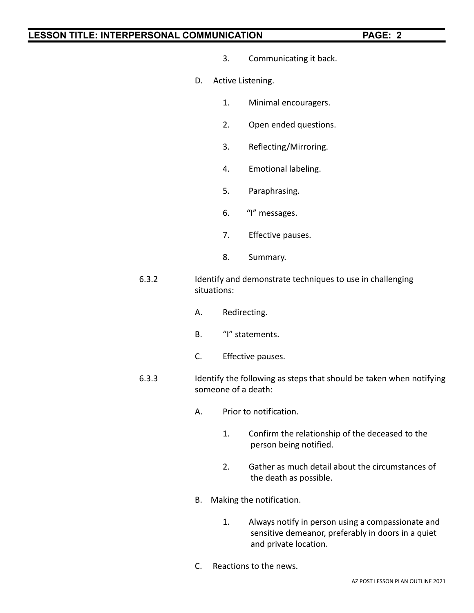- 3. Communicating it back.
- D. Active Listening.
	- 1. Minimal encouragers.
	- 2. Open ended questions.
	- 3. Reflecting/Mirroring.
	- 4. Emotional labeling.
	- 5. Paraphrasing.
	- 6. "I" messages.
	- 7. Effective pauses.
	- 8. Summary.
- 6.3.2 Identify and demonstrate techniques to use in challenging situations:
	- A. Redirecting.
	- B. "I" statements.
	- C. Effective pauses.
- 6.3.3 Identify the following as steps that should be taken when notifying someone of a death:
	- A. Prior to notification.
		- 1. Confirm the relationship of the deceased to the person being notified.
		- 2. Gather as much detail about the circumstances of the death as possible.
	- B. Making the notification.
		- 1. Always notify in person using a compassionate and sensitive demeanor, preferably in doors in a quiet and private location.
	- C. Reactions to the news.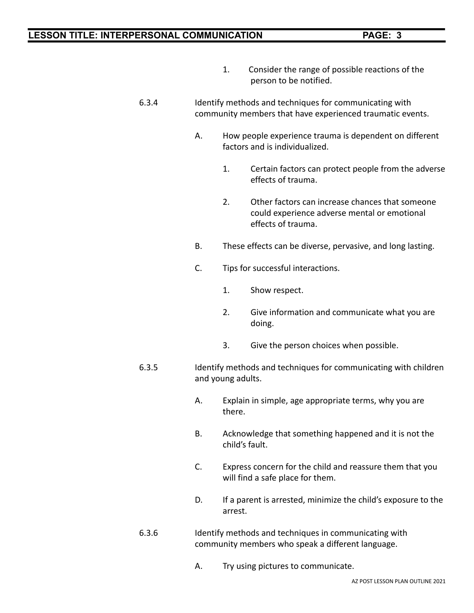- 1. Consider the range of possible reactions of the person to be notified.
- 6.3.4 Identify methods and techniques for communicating with community members that have experienced traumatic events.
	- A. How people experience trauma is dependent on different factors and is individualized.
		- 1. Certain factors can protect people from the adverse effects of trauma.
		- 2. Other factors can increase chances that someone could experience adverse mental or emotional effects of trauma.
	- B. These effects can be diverse, pervasive, and long lasting.
	- C. Tips for successful interactions.
		- 1. Show respect.
		- 2. Give information and communicate what you are doing.
		- 3. Give the person choices when possible.
- 6.3.5 Identify methods and techniques for communicating with children and young adults.
	- A. Explain in simple, age appropriate terms, why you are there.
	- B. Acknowledge that something happened and it is not the child's fault.
	- C. Express concern for the child and reassure them that you will find a safe place for them.
	- D. If a parent is arrested, minimize the child's exposure to the arrest.
- 6.3.6 Identify methods and techniques in communicating with community members who speak a different language.
	- A. Try using pictures to communicate.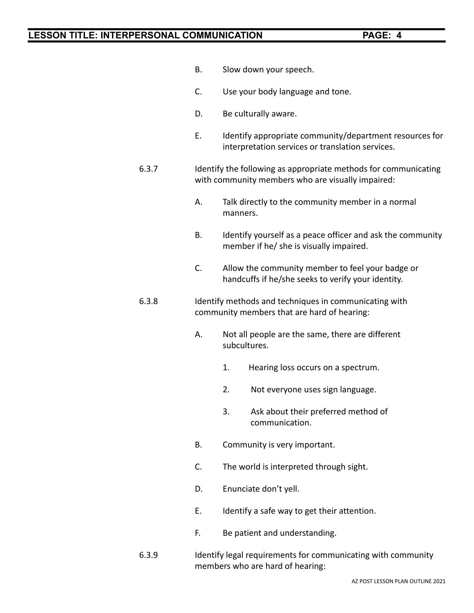- B. Slow down your speech.
- C. Use your body language and tone.
- D. Be culturally aware.
- E. Identify appropriate community/department resources for interpretation services or translation services.
- 6.3.7 Identify the following as appropriate methods for communicating with community members who are visually impaired:
	- A. Talk directly to the community member in a normal manners.
	- B. Identify yourself as a peace officer and ask the community member if he/ she is visually impaired.
	- C. Allow the community member to feel your badge or handcuffs if he/she seeks to verify your identity.
- 6.3.8 Identify methods and techniques in communicating with community members that are hard of hearing:
	- A. Not all people are the same, there are different subcultures.
		- 1. Hearing loss occurs on a spectrum.
		- 2. Not everyone uses sign language.
		- 3. Ask about their preferred method of communication.
	- B. Community is very important.
	- C. The world is interpreted through sight.
	- D. Enunciate don't yell.
	- E. Identify a safe way to get their attention.
	- F. Be patient and understanding.
- 6.3.9 Identify legal requirements for communicating with community members who are hard of hearing: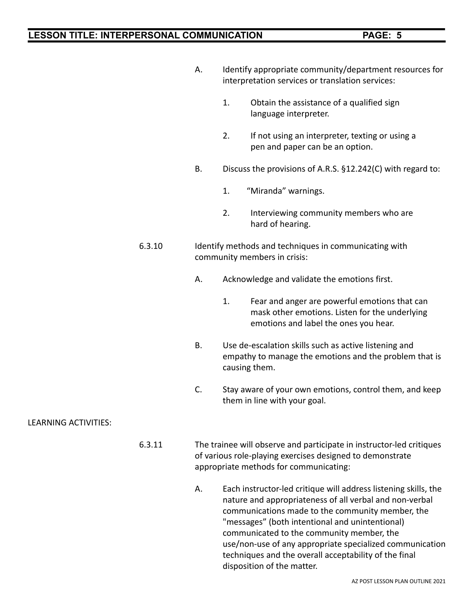|                      |        | А.                                                                                                                                                                          | Identify appropriate community/department resources for<br>interpretation services or translation services:                      |                                                                                                                                          |
|----------------------|--------|-----------------------------------------------------------------------------------------------------------------------------------------------------------------------------|----------------------------------------------------------------------------------------------------------------------------------|------------------------------------------------------------------------------------------------------------------------------------------|
|                      |        |                                                                                                                                                                             | 1.                                                                                                                               | Obtain the assistance of a qualified sign<br>language interpreter.                                                                       |
|                      |        |                                                                                                                                                                             | 2.                                                                                                                               | If not using an interpreter, texting or using a<br>pen and paper can be an option.                                                       |
|                      |        | <b>B.</b>                                                                                                                                                                   | Discuss the provisions of A.R.S. §12.242(C) with regard to:                                                                      |                                                                                                                                          |
|                      |        |                                                                                                                                                                             | 1.                                                                                                                               | "Miranda" warnings.                                                                                                                      |
|                      |        |                                                                                                                                                                             | 2.                                                                                                                               | Interviewing community members who are<br>hard of hearing.                                                                               |
|                      | 6.3.10 |                                                                                                                                                                             | Identify methods and techniques in communicating with<br>community members in crisis:                                            |                                                                                                                                          |
|                      |        | А.                                                                                                                                                                          |                                                                                                                                  | Acknowledge and validate the emotions first.                                                                                             |
|                      |        |                                                                                                                                                                             | 1.                                                                                                                               | Fear and anger are powerful emotions that can<br>mask other emotions. Listen for the underlying<br>emotions and label the ones you hear. |
|                      |        | <b>B.</b>                                                                                                                                                                   | Use de-escalation skills such as active listening and<br>empathy to manage the emotions and the problem that is<br>causing them. |                                                                                                                                          |
|                      |        | C.                                                                                                                                                                          |                                                                                                                                  | Stay aware of your own emotions, control them, and keep<br>them in line with your goal.                                                  |
| LEARNING ACTIVITIES: |        |                                                                                                                                                                             |                                                                                                                                  |                                                                                                                                          |
|                      | 6.3.11 | The trainee will observe and participate in instructor-led critiques<br>of various role-playing exercises designed to demonstrate<br>appropriate methods for communicating: |                                                                                                                                  |                                                                                                                                          |
|                      |        | Α.                                                                                                                                                                          |                                                                                                                                  | Each instructor-led critique will address listening skills, the                                                                          |

nature and appropriateness of all verbal and non-verbal communications made to the community member, the "messages" (both intentional and unintentional) communicated to the community member, the use/non-use of any appropriate specialized communication techniques and the overall acceptability of the final disposition of the matter.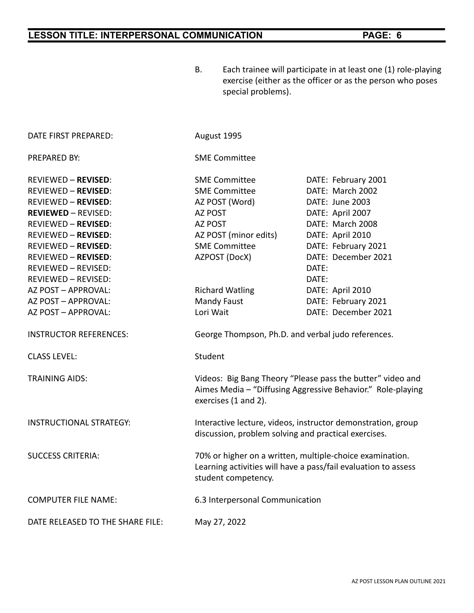B. Each trainee will participate in at least one (1) role-playing

|                                  | exercise (either as the officer or as the person who poses<br>special problems).                                                                  |                     |  |  |  |  |
|----------------------------------|---------------------------------------------------------------------------------------------------------------------------------------------------|---------------------|--|--|--|--|
| DATE FIRST PREPARED:             | August 1995                                                                                                                                       |                     |  |  |  |  |
| PREPARED BY:                     | <b>SME Committee</b>                                                                                                                              |                     |  |  |  |  |
| REVIEWED – <b>REVISED</b> :      | <b>SME Committee</b>                                                                                                                              | DATE: February 2001 |  |  |  |  |
| REVIEWED – <b>REVISED</b> :      | <b>SME Committee</b>                                                                                                                              | DATE: March 2002    |  |  |  |  |
| REVIEWED – <b>REVISED</b> :      | AZ POST (Word)                                                                                                                                    | DATE: June 2003     |  |  |  |  |
| <b>REVIEWED - REVISED:</b>       | AZ POST                                                                                                                                           | DATE: April 2007    |  |  |  |  |
| REVIEWED – <b>REVISED</b> :      | AZ POST                                                                                                                                           | DATE: March 2008    |  |  |  |  |
| REVIEWED - REVISED:              | AZ POST (minor edits)                                                                                                                             | DATE: April 2010    |  |  |  |  |
| REVIEWED – <b>REVISED</b> :      | <b>SME Committee</b>                                                                                                                              | DATE: February 2021 |  |  |  |  |
| REVIEWED – <b>REVISED</b> :      | AZPOST (DocX)                                                                                                                                     | DATE: December 2021 |  |  |  |  |
| REVIEWED – REVISED:              |                                                                                                                                                   | DATE:               |  |  |  |  |
| REVIEWED - REVISED:              |                                                                                                                                                   | DATE:               |  |  |  |  |
| AZ POST – APPROVAL:              | <b>Richard Watling</b>                                                                                                                            | DATE: April 2010    |  |  |  |  |
| AZ POST – APPROVAL:              | Mandy Faust                                                                                                                                       | DATE: February 2021 |  |  |  |  |
| AZ POST – APPROVAL:              | Lori Wait                                                                                                                                         | DATE: December 2021 |  |  |  |  |
| <b>INSTRUCTOR REFERENCES:</b>    | George Thompson, Ph.D. and verbal judo references.                                                                                                |                     |  |  |  |  |
| <b>CLASS LEVEL:</b>              | Student                                                                                                                                           |                     |  |  |  |  |
| <b>TRAINING AIDS:</b>            | Videos: Big Bang Theory "Please pass the butter" video and<br>Aimes Media - "Diffusing Aggressive Behavior." Role-playing<br>exercises (1 and 2). |                     |  |  |  |  |
| INSTRUCTIONAL STRATEGY:          | Interactive lecture, videos, instructor demonstration, group<br>discussion, problem solving and practical exercises.                              |                     |  |  |  |  |
| <b>SUCCESS CRITERIA:</b>         | 70% or higher on a written, multiple-choice examination.<br>Learning activities will have a pass/fail evaluation to assess<br>student competency. |                     |  |  |  |  |
| COMPUTER FILE NAME:              | 6.3 Interpersonal Communication                                                                                                                   |                     |  |  |  |  |
| DATE RELEASED TO THE SHARE FILE: | May 27, 2022                                                                                                                                      |                     |  |  |  |  |
|                                  |                                                                                                                                                   |                     |  |  |  |  |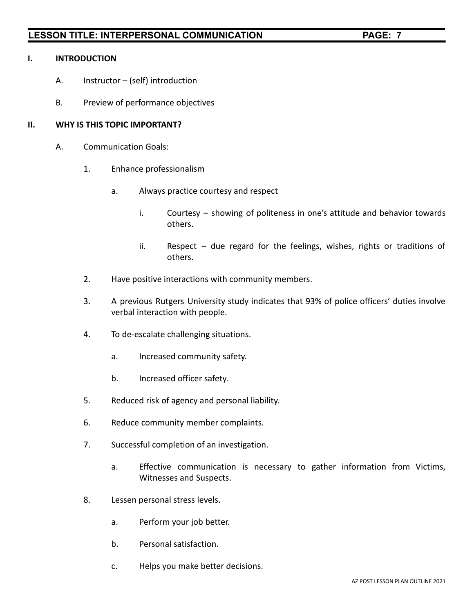### **I. INTRODUCTION**

- A. Instructor (self) introduction
- B. Preview of performance objectives

### **II. WHY IS THIS TOPIC IMPORTANT?**

- A. Communication Goals:
	- 1. Enhance professionalism
		- a. Always practice courtesy and respect
			- i. Courtesy showing of politeness in one's attitude and behavior towards others.
			- ii. Respect due regard for the feelings, wishes, rights or traditions of others.
	- 2. Have positive interactions with community members.
	- 3. A previous Rutgers University study indicates that 93% of police officers' duties involve verbal interaction with people.
	- 4. To de-escalate challenging situations.
		- a. Increased community safety.
		- b. Increased officer safety.
	- 5. Reduced risk of agency and personal liability.
	- 6. Reduce community member complaints.
	- 7. Successful completion of an investigation.
		- a. Effective communication is necessary to gather information from Victims, Witnesses and Suspects.
	- 8. Lessen personal stress levels.
		- a. Perform your job better.
		- b. Personal satisfaction.
		- c. Helps you make better decisions.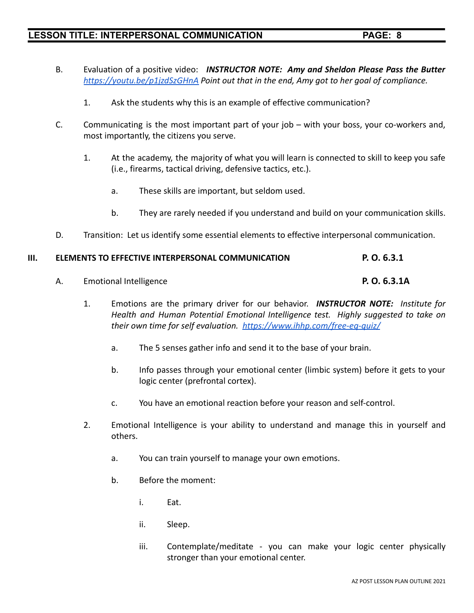- B. Evaluation of a positive video: *INSTRUCTOR NOTE: Amy and Sheldon Please Pass the Butter <https://youtu.be/p1jzdSzGHnA> Point out that in the end, Amy got to her goal of compliance.*
	- 1. Ask the students why this is an example of effective communication?
- C. Communicating is the most important part of your job with your boss, your co-workers and, most importantly, the citizens you serve.
	- 1. At the academy, the majority of what you will learn is connected to skill to keep you safe (i.e., firearms, tactical driving, defensive tactics, etc.).
		- a. These skills are important, but seldom used.
		- b. They are rarely needed if you understand and build on your communication skills.
- D. Transition: Let us identify some essential elements to effective interpersonal communication.

#### **III. ELEMENTS TO EFFECTIVE INTERPERSONAL COMMUNICATION P. O. 6.3.1**

- A. Emotional Intelligence **P. O. 6.3.1A**
	- 1. Emotions are the primary driver for our behavior. *INSTRUCTOR NOTE: Institute for Health and Human Potential Emotional Intelligence test. Highly suggested to take on their own time for self evaluation. <https://www.ihhp.com/free-eq-quiz/>*
		- a. The 5 senses gather info and send it to the base of your brain.
		- b. Info passes through your emotional center (limbic system) before it gets to your logic center (prefrontal cortex).
		- c. You have an emotional reaction before your reason and self-control.
	- 2. Emotional Intelligence is your ability to understand and manage this in yourself and others.
		- a. You can train yourself to manage your own emotions.
		- b. Before the moment:
			- i. Eat.
			- ii. Sleep.
			- iii. Contemplate/meditate you can make your logic center physically stronger than your emotional center.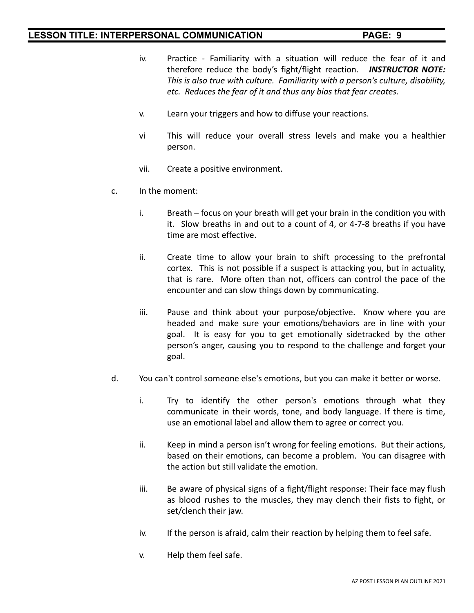- iv. Practice Familiarity with a situation will reduce the fear of it and therefore reduce the body's fight/flight reaction. *INSTRUCTOR NOTE: This is also true with culture. Familiarity with a person's culture, disability, etc. Reduces the fear of it and thus any bias that fear creates.*
- v. Learn your triggers and how to diffuse your reactions.
- vi This will reduce your overall stress levels and make you a healthier person.
- vii. Create a positive environment.
- c. In the moment:
	- i. Breath focus on your breath will get your brain in the condition you with it. Slow breaths in and out to a count of 4, or 4-7-8 breaths if you have time are most effective.
	- ii. Create time to allow your brain to shift processing to the prefrontal cortex. This is not possible if a suspect is attacking you, but in actuality, that is rare. More often than not, officers can control the pace of the encounter and can slow things down by communicating.
	- iii. Pause and think about your purpose/objective. Know where you are headed and make sure your emotions/behaviors are in line with your goal. It is easy for you to get emotionally sidetracked by the other person's anger, causing you to respond to the challenge and forget your goal.
- d. You can't control someone else's emotions, but you can make it better or worse.
	- i. Try to identify the other person's emotions through what they communicate in their words, tone, and body language. If there is time, use an emotional label and allow them to agree or correct you.
	- ii. Keep in mind a person isn't wrong for feeling emotions. But their actions, based on their emotions, can become a problem. You can disagree with the action but still validate the emotion.
	- iii. Be aware of physical signs of a fight/flight response: Their face may flush as blood rushes to the muscles, they may clench their fists to fight, or set/clench their jaw.
	- iv. If the person is afraid, calm their reaction by helping them to feel safe.
	- v. Help them feel safe.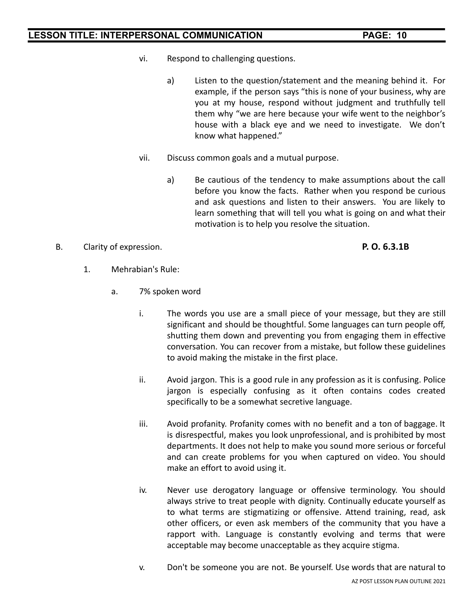- vi. Respond to challenging questions.
	- a) Listen to the question/statement and the meaning behind it. For example, if the person says "this is none of your business, why are you at my house, respond without judgment and truthfully tell them why "we are here because your wife went to the neighbor's house with a black eye and we need to investigate. We don't know what happened."
- vii. Discuss common goals and a mutual purpose.
	- a) Be cautious of the tendency to make assumptions about the call before you know the facts. Rather when you respond be curious and ask questions and listen to their answers. You are likely to learn something that will tell you what is going on and what their motivation is to help you resolve the situation.

### B. Clarity of expression. **P. O. 6.3.1B**

- 1. Mehrabian's Rule:
	- a. 7% spoken word
		- i. The words you use are a small piece of your message, but they are still significant and should be thoughtful. Some languages can turn people off, shutting them down and preventing you from engaging them in effective conversation. You can recover from a mistake, but follow these guidelines to avoid making the mistake in the first place.
		- ii. Avoid jargon. This is a good rule in any profession as it is confusing. Police jargon is especially confusing as it often contains codes created specifically to be a somewhat secretive language.
		- iii. Avoid profanity. Profanity comes with no benefit and a ton of baggage. It is disrespectful, makes you look unprofessional, and is prohibited by most departments. It does not help to make you sound more serious or forceful and can create problems for you when captured on video. You should make an effort to avoid using it.
		- iv. Never use derogatory language or offensive terminology. You should always strive to treat people with dignity. Continually educate yourself as to what terms are stigmatizing or offensive. Attend training, read, ask other officers, or even ask members of the community that you have a rapport with. Language is constantly evolving and terms that were acceptable may become unacceptable as they acquire stigma.
		- v. Don't be someone you are not. Be yourself. Use words that are natural to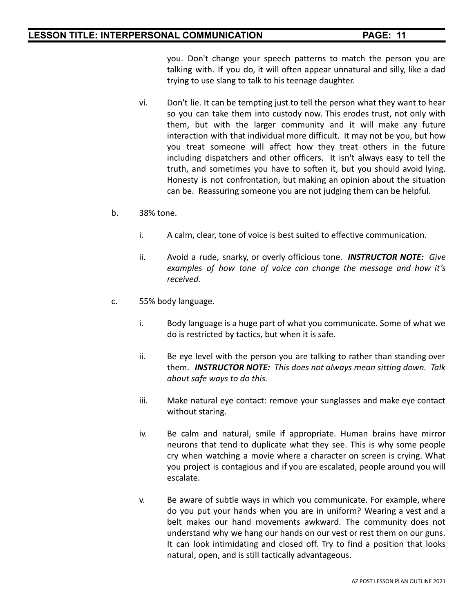you. Don't change your speech patterns to match the person you are talking with. If you do, it will often appear unnatural and silly, like a dad trying to use slang to talk to his teenage daughter.

- vi. Don't lie. It can be tempting just to tell the person what they want to hear so you can take them into custody now. This erodes trust, not only with them, but with the larger community and it will make any future interaction with that individual more difficult. It may not be you, but how you treat someone will affect how they treat others in the future including dispatchers and other officers. It isn't always easy to tell the truth, and sometimes you have to soften it, but you should avoid lying. Honesty is not confrontation, but making an opinion about the situation can be. Reassuring someone you are not judging them can be helpful.
- b. 38% tone.
	- i. A calm, clear, tone of voice is best suited to effective communication.
	- ii. Avoid a rude, snarky, or overly officious tone. *INSTRUCTOR NOTE: Give examples of how tone of voice can change the message and how it's received.*
- c. 55% body language.
	- i. Body language is a huge part of what you communicate. Some of what we do is restricted by tactics, but when it is safe.
	- ii. Be eye level with the person you are talking to rather than standing over them. *INSTRUCTOR NOTE: This does not always mean sitting down. Talk about safe ways to do this.*
	- iii. Make natural eye contact: remove your sunglasses and make eye contact without staring.
	- iv. Be calm and natural, smile if appropriate. Human brains have mirror neurons that tend to duplicate what they see. This is why some people cry when watching a movie where a character on screen is crying. What you project is contagious and if you are escalated, people around you will escalate.
	- v. Be aware of subtle ways in which you communicate. For example, where do you put your hands when you are in uniform? Wearing a vest and a belt makes our hand movements awkward. The community does not understand why we hang our hands on our vest or rest them on our guns. It can look intimidating and closed off. Try to find a position that looks natural, open, and is still tactically advantageous.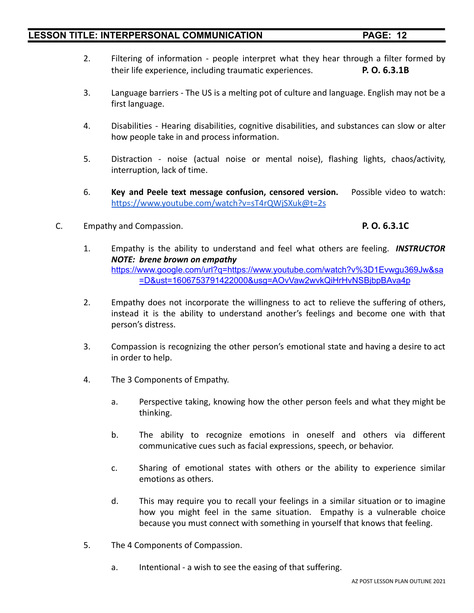- 2. Filtering of information people interpret what they hear through a filter formed by their life experience, including traumatic experiences. **P. O. 6.3.1B**
- 3. Language barriers The US is a melting pot of culture and language. English may not be a first language.
- 4. Disabilities Hearing disabilities, cognitive disabilities, and substances can slow or alter how people take in and process information.
- 5. Distraction noise (actual noise or mental noise), flashing lights, chaos/activity, interruption, lack of time.
- 6. **Key and Peele text message confusion, censored version.** Possible video to watch: <https://www.youtube.com/watch?v=sT4rQWjSXuk@t=2s>
- C. Empathy and Compassion. **P. O. 6.3.1C**

- 1. Empathy is the ability to understand and feel what others are feeling. *INSTRUCTOR NOTE: brene brown on empathy* [https://www.google.com/url?q=https://www.youtube.com/watch?v%3D1Evwgu369Jw&sa](https://www.youtube.com/watch?v=1Evwgu369Jw) [=D&ust=1606753791422000&usg=AOvVaw2wvkQiHrHvNSBjbpBAva4p](https://www.youtube.com/watch?v=1Evwgu369Jw)
- 2. Empathy does not incorporate the willingness to act to relieve the suffering of others, instead it is the ability to understand another's feelings and become one with that person's distress.
- 3. Compassion is recognizing the other person's emotional state and having a desire to act in order to help.
- 4. The 3 Components of Empathy.
	- a. Perspective taking, knowing how the other person feels and what they might be thinking.
	- b. The ability to recognize emotions in oneself and others via different communicative cues such as facial expressions, speech, or behavior.
	- c. Sharing of emotional states with others or the ability to experience similar emotions as others.
	- d. This may require you to recall your feelings in a similar situation or to imagine how you might feel in the same situation. Empathy is a vulnerable choice because you must connect with something in yourself that knows that feeling.
- 5. The 4 Components of Compassion.
	- a. Intentional a wish to see the easing of that suffering.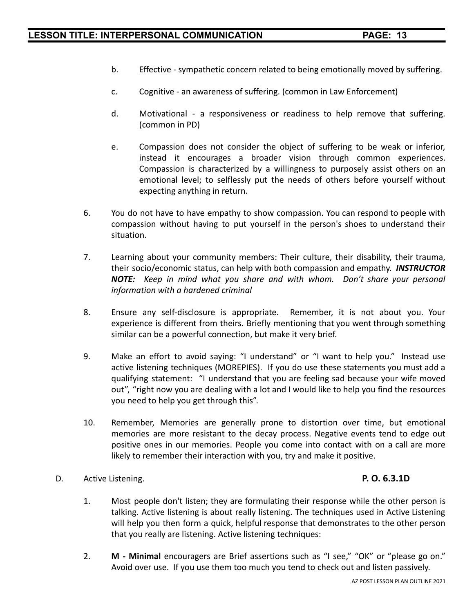- b. Effective sympathetic concern related to being emotionally moved by suffering.
- c. Cognitive an awareness of suffering. (common in Law Enforcement)
- d. Motivational a responsiveness or readiness to help remove that suffering. (common in PD)
- e. Compassion does not consider the object of suffering to be weak or inferior, instead it encourages a broader vision through common experiences. Compassion is characterized by a willingness to purposely assist others on an emotional level; to selflessly put the needs of others before yourself without expecting anything in return.
- 6. You do not have to have empathy to show compassion. You can respond to people with compassion without having to put yourself in the person's shoes to understand their situation.
- 7. Learning about your community members: Their culture, their disability, their trauma, their socio/economic status, can help with both compassion and empathy. *INSTRUCTOR NOTE: Keep in mind what you share and with whom. Don't share your personal information with a hardened criminal*
- 8. Ensure any self-disclosure is appropriate. Remember, it is not about you. Your experience is different from theirs. Briefly mentioning that you went through something similar can be a powerful connection, but make it very brief.
- 9. Make an effort to avoid saying: "I understand" or "I want to help you." Instead use active listening techniques (MOREPIES). If you do use these statements you must add a qualifying statement: "I understand that you are feeling sad because your wife moved out", "right now you are dealing with a lot and I would like to help you find the resources you need to help you get through this".
- 10. Remember, Memories are generally prone to distortion over time, but emotional memories are more resistant to the decay process. Negative events tend to edge out positive ones in our memories. People you come into contact with on a call are more likely to remember their interaction with you, try and make it positive.
- D. Active Listening. **P. O. 6.3.1D**

- 1. Most people don't listen; they are formulating their response while the other person is talking. Active listening is about really listening. The techniques used in Active Listening will help you then form a quick, helpful response that demonstrates to the other person that you really are listening. Active listening techniques:
- 2. **M - Minimal** encouragers are Brief assertions such as "I see," "OK" or "please go on." Avoid over use. If you use them too much you tend to check out and listen passively.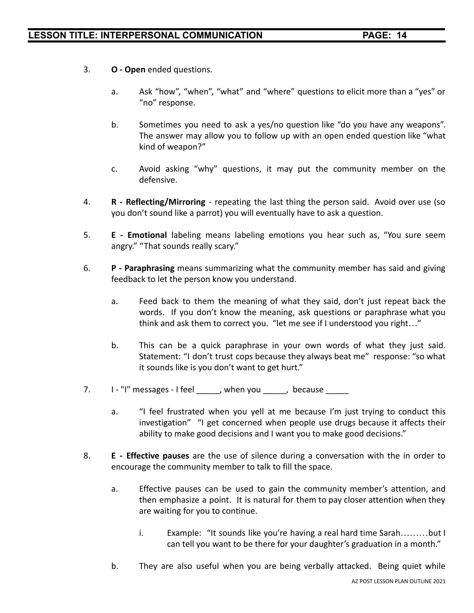- 3. **O Open** ended questions.
	- a. Ask "how", "when", "what" and "where" questions to elicit more than a "yes" or "no" response.
	- b. Sometimes you need to ask a yes/no question like "do you have any weapons". The answer may allow you to follow up with an open ended question like "what kind of weapon?"
	- c. Avoid asking "why" questions, it may put the community member on the defensive.
- 4. **R - Reflecting/Mirroring** repeating the last thing the person said. Avoid over use (so you don't sound like a parrot) you will eventually have to ask a question.
- 5. **E - Emotional** labeling means labeling emotions you hear such as, "You sure seem angry." "That sounds really scary."
- 6. **P - Paraphrasing** means summarizing what the community member has said and giving feedback to let the person know you understand.
	- a. Feed back to them the meaning of what they said, don't just repeat back the words. If you don't know the meaning, ask questions or paraphrase what you think and ask them to correct you. "let me see if I understood you right…"
	- b. This can be a quick paraphrase in your own words of what they just said. Statement: "I don't trust cops because they always beat me" response: "so what it sounds like is you don't want to get hurt."
- 7. I "I" messages I feel \_\_\_\_\_, when you \_\_\_\_\_, because \_\_\_\_\_
	- a. "I feel frustrated when you yell at me because I'm just trying to conduct this investigation" "I get concerned when people use drugs because it affects their ability to make good decisions and I want you to make good decisions."
- 8. **E - Effective pauses** are the use of silence during a conversation with the in order to encourage the community member to talk to fill the space.
	- a. Effective pauses can be used to gain the community member's attention, and then emphasize a point. It is natural for them to pay closer attention when they are waiting for you to continue.
		- i. Example: "It sounds like you're having a real hard time Sarah………but I can tell you want to be there for your daughter's graduation in a month."
	- b. They are also useful when you are being verbally attacked. Being quiet while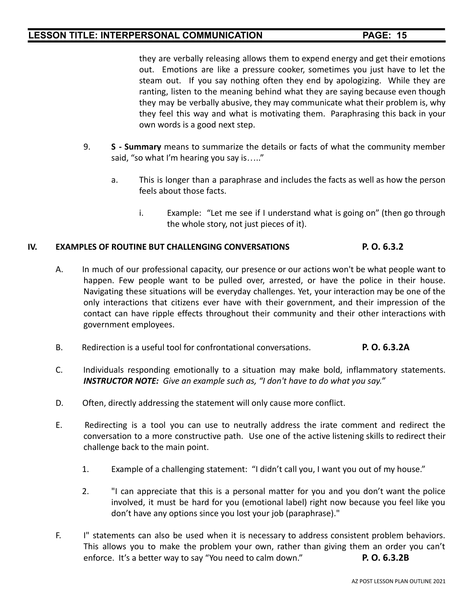they are verbally releasing allows them to expend energy and get their emotions out. Emotions are like a pressure cooker, sometimes you just have to let the steam out. If you say nothing often they end by apologizing. While they are ranting, listen to the meaning behind what they are saying because even though they may be verbally abusive, they may communicate what their problem is, why they feel this way and what is motivating them. Paraphrasing this back in your own words is a good next step.

- 9. **S - Summary** means to summarize the details or facts of what the community member said, "so what I'm hearing you say is….."
	- a. This is longer than a paraphrase and includes the facts as well as how the person feels about those facts.
		- i. Example: "Let me see if I understand what is going on" (then go through the whole story, not just pieces of it).

### **IV. EXAMPLES OF ROUTINE BUT CHALLENGING CONVERSATIONS P. O. 6.3.2**

- A. In much of our professional capacity, our presence or our actions won't be what people want to happen. Few people want to be pulled over, arrested, or have the police in their house. Navigating these situations will be everyday challenges. Yet, your interaction may be one of the only interactions that citizens ever have with their government, and their impression of the contact can have ripple effects throughout their community and their other interactions with government employees.
- B. Redirection is a useful tool for confrontational conversations. **P. O. 6.3.2A**
- C. Individuals responding emotionally to a situation may make bold, inflammatory statements. *INSTRUCTOR NOTE: Give an example such as, "I don't have to do what you say."*
- D. Often, directly addressing the statement will only cause more conflict.
- E. Redirecting is a tool you can use to neutrally address the irate comment and redirect the conversation to a more constructive path. Use one of the active listening skills to redirect their challenge back to the main point.
	- 1. Example of a challenging statement: "I didn't call you, I want you out of my house."
	- 2. "I can appreciate that this is a personal matter for you and you don't want the police involved, it must be hard for you (emotional label) right now because you feel like you don't have any options since you lost your job (paraphrase)."
- F. I" statements can also be used when it is necessary to address consistent problem behaviors. This allows you to make the problem your own, rather than giving them an order you can't enforce. It's a better way to say "You need to calm down." **P. O. 6.3.2B**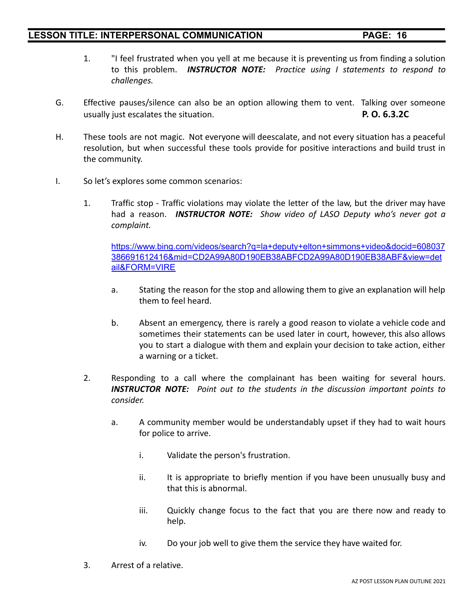- 1. "I feel frustrated when you yell at me because it is preventing us from finding a solution to this problem. *INSTRUCTOR NOTE: Practice using I statements to respond to challenges.*
- G. Effective pauses/silence can also be an option allowing them to vent. Talking over someone usually just escalates the situation. **P. O. 6.3.2C**
- H. These tools are not magic. Not everyone will deescalate, and not every situation has a peaceful resolution, but when successful these tools provide for positive interactions and build trust in the community.
- I. So let's explores some common scenarios:
	- 1. Traffic stop Traffic violations may violate the letter of the law, but the driver may have had a reason. *INSTRUCTOR NOTE: Show video of LASO Deputy who's never got a complaint.*

[https://www.bing.com/videos/search?q=la+deputy+elton+simmons+video&docid=608037](https://www.bing.com/videos/search?q=la+deputy+elton+simmons+video&docid=608037386691612416&mid=CD2A99A80D190EB38ABFCD2A99A80D190EB38ABF&view=detail&FORM=VIRE) [386691612416&mid=CD2A99A80D190EB38ABFCD2A99A80D190EB38ABF&view=det](https://www.bing.com/videos/search?q=la+deputy+elton+simmons+video&docid=608037386691612416&mid=CD2A99A80D190EB38ABFCD2A99A80D190EB38ABF&view=detail&FORM=VIRE) [ail&FORM=VIRE](https://www.bing.com/videos/search?q=la+deputy+elton+simmons+video&docid=608037386691612416&mid=CD2A99A80D190EB38ABFCD2A99A80D190EB38ABF&view=detail&FORM=VIRE)

- a. Stating the reason for the stop and allowing them to give an explanation will help them to feel heard.
- b. Absent an emergency, there is rarely a good reason to violate a vehicle code and sometimes their statements can be used later in court, however, this also allows you to start a dialogue with them and explain your decision to take action, either a warning or a ticket.
- 2. Responding to a call where the complainant has been waiting for several hours. *INSTRUCTOR NOTE: Point out to the students in the discussion important points to consider.*
	- a. A community member would be understandably upset if they had to wait hours for police to arrive.
		- i. Validate the person's frustration.
		- ii. It is appropriate to briefly mention if you have been unusually busy and that this is abnormal.
		- iii. Quickly change focus to the fact that you are there now and ready to help.
		- iv. Do your job well to give them the service they have waited for.
- 3. Arrest of a relative.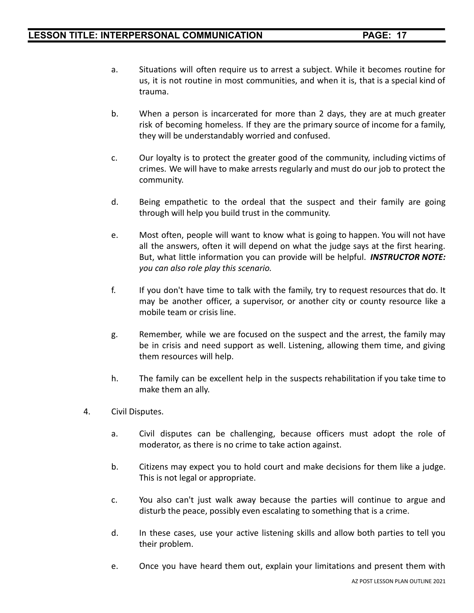- a. Situations will often require us to arrest a subject. While it becomes routine for us, it is not routine in most communities, and when it is, that is a special kind of trauma.
- b. When a person is incarcerated for more than 2 days, they are at much greater risk of becoming homeless. If they are the primary source of income for a family, they will be understandably worried and confused.
- c. Our loyalty is to protect the greater good of the community, including victims of crimes. We will have to make arrests regularly and must do our job to protect the community.
- d. Being empathetic to the ordeal that the suspect and their family are going through will help you build trust in the community.
- e. Most often, people will want to know what is going to happen. You will not have all the answers, often it will depend on what the judge says at the first hearing. But, what little information you can provide will be helpful. *INSTRUCTOR NOTE: you can also role play this scenario.*
- f. If you don't have time to talk with the family, try to request resources that do. It may be another officer, a supervisor, or another city or county resource like a mobile team or crisis line.
- g. Remember, while we are focused on the suspect and the arrest, the family may be in crisis and need support as well. Listening, allowing them time, and giving them resources will help.
- h. The family can be excellent help in the suspects rehabilitation if you take time to make them an ally.
- 4. Civil Disputes.
	- a. Civil disputes can be challenging, because officers must adopt the role of moderator, as there is no crime to take action against.
	- b. Citizens may expect you to hold court and make decisions for them like a judge. This is not legal or appropriate.
	- c. You also can't just walk away because the parties will continue to argue and disturb the peace, possibly even escalating to something that is a crime.
	- d. In these cases, use your active listening skills and allow both parties to tell you their problem.
	- e. Once you have heard them out, explain your limitations and present them with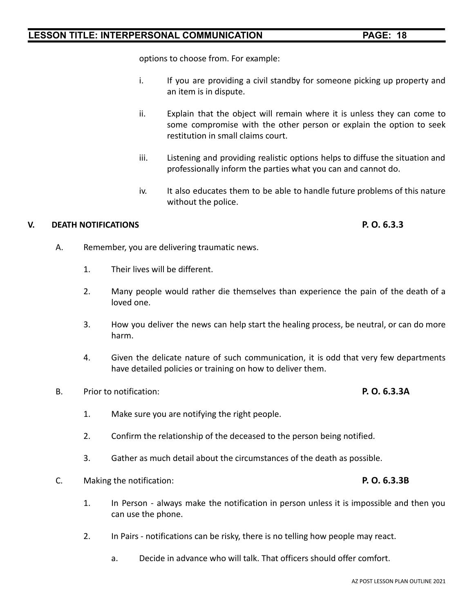options to choose from. For example:

- i. If you are providing a civil standby for someone picking up property and an item is in dispute.
- ii. Explain that the object will remain where it is unless they can come to some compromise with the other person or explain the option to seek restitution in small claims court.
- iii. Listening and providing realistic options helps to diffuse the situation and professionally inform the parties what you can and cannot do.
- iv. It also educates them to be able to handle future problems of this nature without the police.

### **V. DEATH NOTIFICATIONS P. O. 6.3.3**

- A. Remember, you are delivering traumatic news.
	- 1. Their lives will be different.
	- 2. Many people would rather die themselves than experience the pain of the death of a loved one.
	- 3. How you deliver the news can help start the healing process, be neutral, or can do more harm.
	- 4. Given the delicate nature of such communication, it is odd that very few departments have detailed policies or training on how to deliver them.
- B. Prior to notification: **P. O. 6.3.3A**

- 1. Make sure you are notifying the right people.
- 2. Confirm the relationship of the deceased to the person being notified.
- 3. Gather as much detail about the circumstances of the death as possible.
- C. Making the notification: **P. O. 6.3.3B**
	- 1. In Person always make the notification in person unless it is impossible and then you can use the phone.
	- 2. In Pairs notifications can be risky, there is no telling how people may react.
		- a. Decide in advance who will talk. That officers should offer comfort.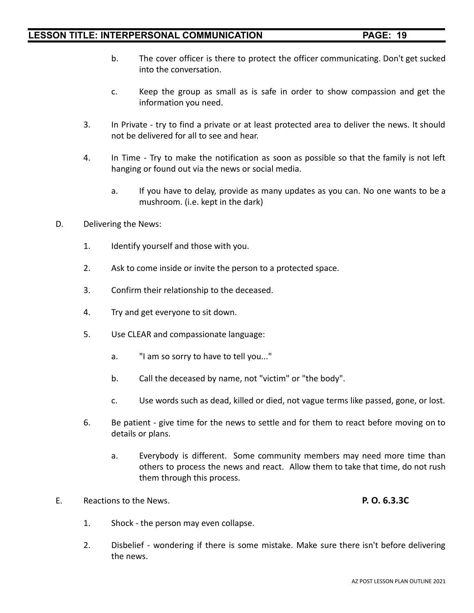- b. The cover officer is there to protect the officer communicating. Don't get sucked into the conversation.
- c. Keep the group as small as is safe in order to show compassion and get the information you need.
- 3. In Private try to find a private or at least protected area to deliver the news. It should not be delivered for all to see and hear.
- 4. In Time Try to make the notification as soon as possible so that the family is not left hanging or found out via the news or social media.
	- a. If you have to delay, provide as many updates as you can. No one wants to be a mushroom. (i.e. kept in the dark)
- D. Delivering the News:
	- 1. Identify yourself and those with you.
	- 2. Ask to come inside or invite the person to a protected space.
	- 3. Confirm their relationship to the deceased.
	- 4. Try and get everyone to sit down.
	- 5. Use CLEAR and compassionate language:
		- a. "I am so sorry to have to tell you..."
		- b. Call the deceased by name, not "victim" or "the body".
		- c. Use words such as dead, killed or died, not vague terms like passed, gone, or lost.
	- 6. Be patient give time for the news to settle and for them to react before moving on to details or plans.
		- a. Everybody is different. Some community members may need more time than others to process the news and react. Allow them to take that time, do not rush them through this process.
- E. Reactions to the News. **P. O. 6.3.3C**

- 1. Shock the person may even collapse.
- 2. Disbelief wondering if there is some mistake. Make sure there isn't before delivering the news.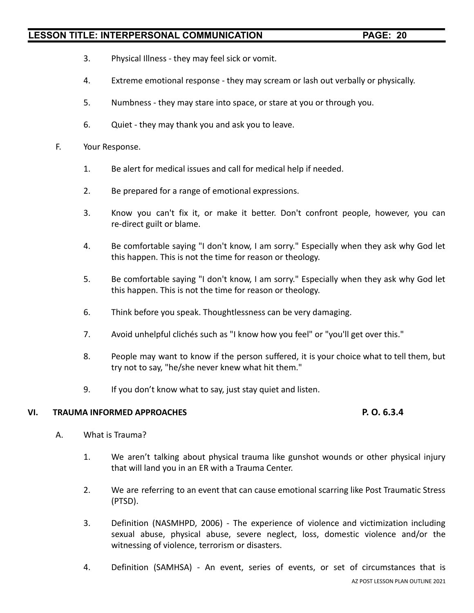- 3. Physical Illness they may feel sick or vomit.
- 4. Extreme emotional response they may scream or lash out verbally or physically.
- 5. Numbness they may stare into space, or stare at you or through you.
- 6. Quiet they may thank you and ask you to leave.

### F. Your Response.

- 1. Be alert for medical issues and call for medical help if needed.
- 2. Be prepared for a range of emotional expressions.
- 3. Know you can't fix it, or make it better. Don't confront people, however, you can re-direct guilt or blame.
- 4. Be comfortable saying "I don't know, I am sorry." Especially when they ask why God let this happen. This is not the time for reason or theology.
- 5. Be comfortable saying "I don't know, I am sorry." Especially when they ask why God let this happen. This is not the time for reason or theology.
- 6. Think before you speak. Thoughtlessness can be very damaging.
- 7. Avoid unhelpful clichés such as "I know how you feel" or "you'll get over this."
- 8. People may want to know if the person suffered, it is your choice what to tell them, but try not to say, "he/she never knew what hit them."
- 9. If you don't know what to say, just stay quiet and listen.

#### **VI. TRAUMA INFORMED APPROACHES P. O. 6.3.4**

- A. What is Trauma?
	- 1. We aren't talking about physical trauma like gunshot wounds or other physical injury that will land you in an ER with a Trauma Center.
	- 2. We are referring to an event that can cause emotional scarring like Post Traumatic Stress (PTSD).
	- 3. Definition (NASMHPD, 2006) The experience of violence and victimization including sexual abuse, physical abuse, severe neglect, loss, domestic violence and/or the witnessing of violence, terrorism or disasters.
	- 4. Definition (SAMHSA) An event, series of events, or set of circumstances that is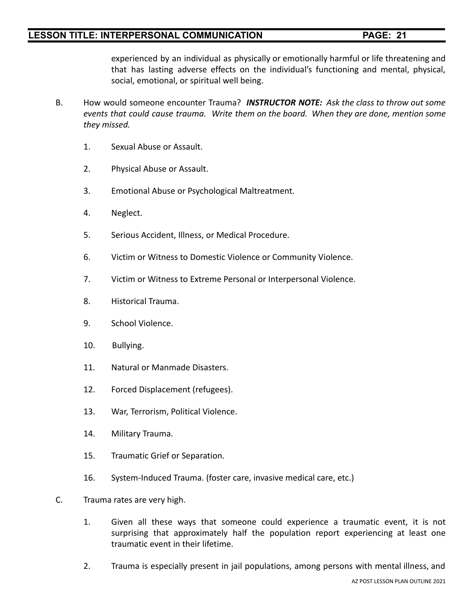experienced by an individual as physically or emotionally harmful or life threatening and that has lasting adverse effects on the individual's functioning and mental, physical, social, emotional, or spiritual well being.

- B. How would someone encounter Trauma? *INSTRUCTOR NOTE: Ask the class to throw out some events that could cause trauma. Write them on the board. When they are done, mention some they missed.*
	- 1. Sexual Abuse or Assault.
	- 2. Physical Abuse or Assault.
	- 3. Emotional Abuse or Psychological Maltreatment.
	- 4. Neglect.
	- 5. Serious Accident, Illness, or Medical Procedure.
	- 6. Victim or Witness to Domestic Violence or Community Violence.
	- 7. Victim or Witness to Extreme Personal or Interpersonal Violence.
	- 8. Historical Trauma.
	- 9. School Violence.
	- 10. Bullying.
	- 11. Natural or Manmade Disasters.
	- 12. Forced Displacement (refugees).
	- 13. War, Terrorism, Political Violence.
	- 14. Military Trauma.
	- 15. Traumatic Grief or Separation.
	- 16. System-Induced Trauma. (foster care, invasive medical care, etc.)
- C. Trauma rates are very high.
	- 1. Given all these ways that someone could experience a traumatic event, it is not surprising that approximately half the population report experiencing at least one traumatic event in their lifetime.
	- 2. Trauma is especially present in jail populations, among persons with mental illness, and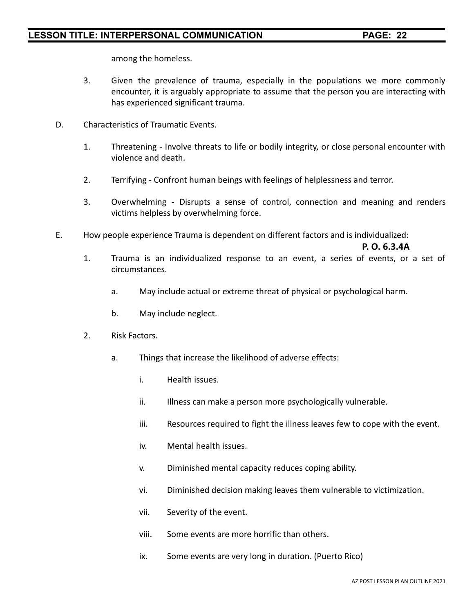among the homeless.

- 3. Given the prevalence of trauma, especially in the populations we more commonly encounter, it is arguably appropriate to assume that the person you are interacting with has experienced significant trauma.
- D. Characteristics of Traumatic Events.
	- 1. Threatening Involve threats to life or bodily integrity, or close personal encounter with violence and death.
	- 2. Terrifying Confront human beings with feelings of helplessness and terror.
	- 3. Overwhelming Disrupts a sense of control, connection and meaning and renders victims helpless by overwhelming force.
- E. How people experience Trauma is dependent on different factors and is individualized:

**P. O. 6.3.4A**

- 1. Trauma is an individualized response to an event, a series of events, or a set of circumstances.
	- a. May include actual or extreme threat of physical or psychological harm.
	- b. May include neglect.
- 2. Risk Factors.
	- a. Things that increase the likelihood of adverse effects:
		- i. Health issues.
		- ii. Illness can make a person more psychologically vulnerable.
		- iii. Resources required to fight the illness leaves few to cope with the event.
		- iv. Mental health issues.
		- v. Diminished mental capacity reduces coping ability.
		- vi. Diminished decision making leaves them vulnerable to victimization.
		- vii. Severity of the event.
		- viii. Some events are more horrific than others.
		- ix. Some events are very long in duration. (Puerto Rico)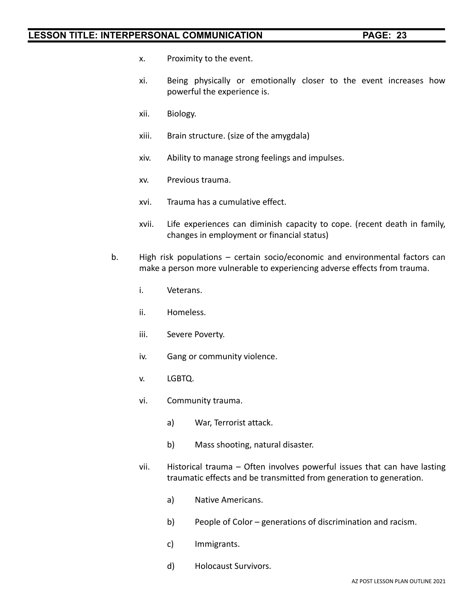- x. Proximity to the event.
- xi. Being physically or emotionally closer to the event increases how powerful the experience is.
- xii. Biology.
- xiii. Brain structure. (size of the amygdala)
- xiv. Ability to manage strong feelings and impulses.
- xv. Previous trauma.
- xvi. Trauma has a cumulative effect.
- xvii. Life experiences can diminish capacity to cope. (recent death in family, changes in employment or financial status)
- b. High risk populations certain socio/economic and environmental factors can make a person more vulnerable to experiencing adverse effects from trauma.
	- i. Veterans.
	- ii. Homeless.
	- iii. Severe Poverty.
	- iv. Gang or community violence.
	- v. LGBTQ.
	- vi. Community trauma.
		- a) War, Terrorist attack.
		- b) Mass shooting, natural disaster.
	- vii. Historical trauma Often involves powerful issues that can have lasting traumatic effects and be transmitted from generation to generation.
		- a) Native Americans.
		- b) People of Color generations of discrimination and racism.
		- c) Immigrants.
		- d) Holocaust Survivors.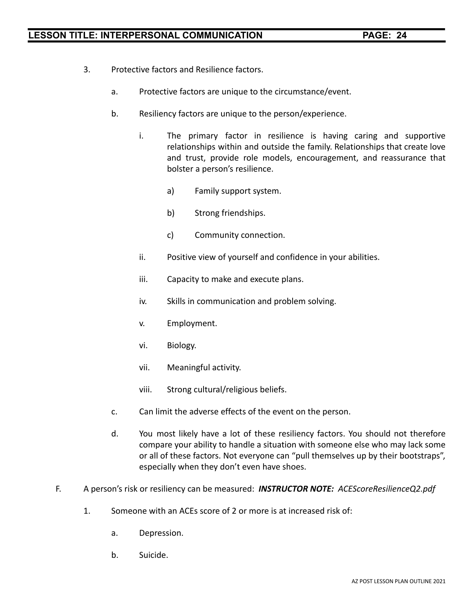- 3. Protective factors and Resilience factors.
	- a. Protective factors are unique to the circumstance/event.
	- b. Resiliency factors are unique to the person/experience.
		- i. The primary factor in resilience is having caring and supportive relationships within and outside the family. Relationships that create love and trust, provide role models, encouragement, and reassurance that bolster a person's resilience.
			- a) Family support system.
			- b) Strong friendships.
			- c) Community connection.
		- ii. Positive view of yourself and confidence in your abilities.
		- iii. Capacity to make and execute plans.
		- iv. Skills in communication and problem solving.
		- v. Employment.
		- vi. Biology.
		- vii. Meaningful activity.
		- viii. Strong cultural/religious beliefs.
	- c. Can limit the adverse effects of the event on the person.
	- d. You most likely have a lot of these resiliency factors. You should not therefore compare your ability to handle a situation with someone else who may lack some or all of these factors. Not everyone can "pull themselves up by their bootstraps", especially when they don't even have shoes.
- F. A person's risk or resiliency can be measured: *INSTRUCTOR NOTE: ACEScoreResilienceQ2.pdf*
	- 1. Someone with an ACEs score of 2 or more is at increased risk of:
		- a. Depression.
		- b. Suicide.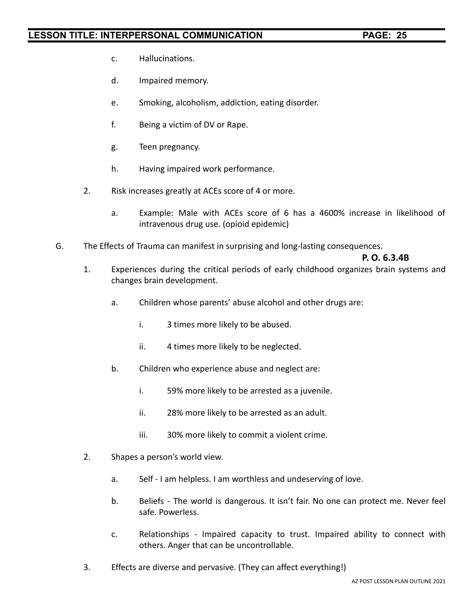- c. Hallucinations.
- d. Impaired memory.
- e. Smoking, alcoholism, addiction, eating disorder.
- f. Being a victim of DV or Rape.
- g. Teen pregnancy.
- h. Having impaired work performance.
- 2. Risk increases greatly at ACEs score of 4 or more.
	- a. Example: Male with ACEs score of 6 has a 4600% increase in likelihood of intravenous drug use. (opioid epidemic)
- G. The Effects of Trauma can manifest in surprising and long-lasting consequences.

### **P. O. 6.3.4B**

- 1. Experiences during the critical periods of early childhood organizes brain systems and changes brain development.
	- a. Children whose parents' abuse alcohol and other drugs are:
		- i. 3 times more likely to be abused.
		- ii. 4 times more likely to be neglected.
	- b. Children who experience abuse and neglect are:
		- i. 59% more likely to be arrested as a juvenile.
		- ii. 28% more likely to be arrested as an adult.
		- iii. 30% more likely to commit a violent crime.
- 2. Shapes a person's world view.
	- a. Self I am helpless. I am worthless and undeserving of love.
	- b. Beliefs The world is dangerous. It isn't fair. No one can protect me. Never feel safe. Powerless.
	- c. Relationships Impaired capacity to trust. Impaired ability to connect with others. Anger that can be uncontrollable.
- 3. Effects are diverse and pervasive. (They can affect everything!)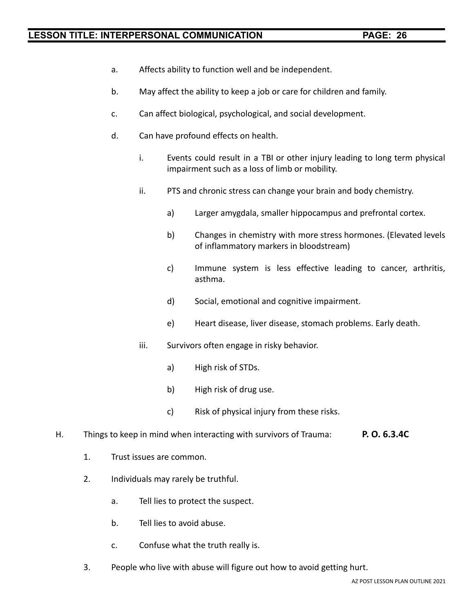- a. Affects ability to function well and be independent.
- b. May affect the ability to keep a job or care for children and family.
- c. Can affect biological, psychological, and social development.
- d. Can have profound effects on health.
	- i. Events could result in a TBI or other injury leading to long term physical impairment such as a loss of limb or mobility.
	- ii. PTS and chronic stress can change your brain and body chemistry.
		- a) Larger amygdala, smaller hippocampus and prefrontal cortex.
		- b) Changes in chemistry with more stress hormones. (Elevated levels of inflammatory markers in bloodstream)
		- c) Immune system is less effective leading to cancer, arthritis, asthma.
		- d) Social, emotional and cognitive impairment.
		- e) Heart disease, liver disease, stomach problems. Early death.
	- iii. Survivors often engage in risky behavior.
		- a) High risk of STDs.
		- b) High risk of drug use.
		- c) Risk of physical injury from these risks.
- H. Things to keep in mind when interacting with survivors of Trauma: **P. O. 6.3.4C**
	- 1. Trust issues are common.
	- 2. Individuals may rarely be truthful.
		- a. Tell lies to protect the suspect.
		- b. Tell lies to avoid abuse.
		- c. Confuse what the truth really is.
	- 3. People who live with abuse will figure out how to avoid getting hurt.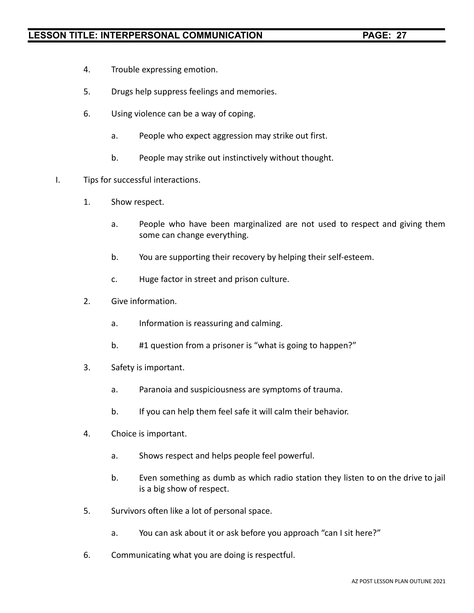- 4. Trouble expressing emotion.
- 5. Drugs help suppress feelings and memories.
- 6. Using violence can be a way of coping.
	- a. People who expect aggression may strike out first.
	- b. People may strike out instinctively without thought.
- I. Tips for successful interactions.
	- 1. Show respect.
		- a. People who have been marginalized are not used to respect and giving them some can change everything.
		- b. You are supporting their recovery by helping their self-esteem.
		- c. Huge factor in street and prison culture.
	- 2. Give information.
		- a. Information is reassuring and calming.
		- b. #1 question from a prisoner is "what is going to happen?"
	- 3. Safety is important.
		- a. Paranoia and suspiciousness are symptoms of trauma.
		- b. If you can help them feel safe it will calm their behavior.
	- 4. Choice is important.
		- a. Shows respect and helps people feel powerful.
		- b. Even something as dumb as which radio station they listen to on the drive to jail is a big show of respect.
	- 5. Survivors often like a lot of personal space.
		- a. You can ask about it or ask before you approach "can I sit here?"
	- 6. Communicating what you are doing is respectful.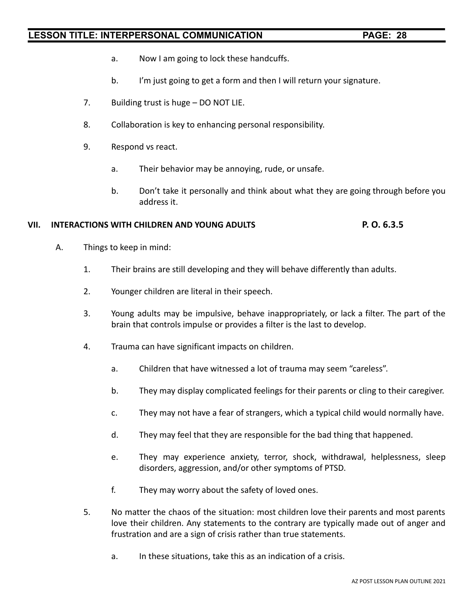- a. Now I am going to lock these handcuffs.
- b. I'm just going to get a form and then I will return your signature.
- 7. Building trust is huge DO NOT LIE.
- 8. Collaboration is key to enhancing personal responsibility.
- 9. Respond vs react.
	- a. Their behavior may be annoying, rude, or unsafe.
	- b. Don't take it personally and think about what they are going through before you address it.

### **VII. INTERACTIONS WITH CHILDREN AND YOUNG ADULTS P. O. 6.3.5**

- A. Things to keep in mind:
	- 1. Their brains are still developing and they will behave differently than adults.
	- 2. Younger children are literal in their speech.
	- 3. Young adults may be impulsive, behave inappropriately, or lack a filter. The part of the brain that controls impulse or provides a filter is the last to develop.
	- 4. Trauma can have significant impacts on children.
		- a. Children that have witnessed a lot of trauma may seem "careless".
		- b. They may display complicated feelings for their parents or cling to their caregiver.
		- c. They may not have a fear of strangers, which a typical child would normally have.
		- d. They may feel that they are responsible for the bad thing that happened.
		- e. They may experience anxiety, terror, shock, withdrawal, helplessness, sleep disorders, aggression, and/or other symptoms of PTSD.
		- f. They may worry about the safety of loved ones.
	- 5. No matter the chaos of the situation: most children love their parents and most parents love their children. Any statements to the contrary are typically made out of anger and frustration and are a sign of crisis rather than true statements.
		- a. In these situations, take this as an indication of a crisis.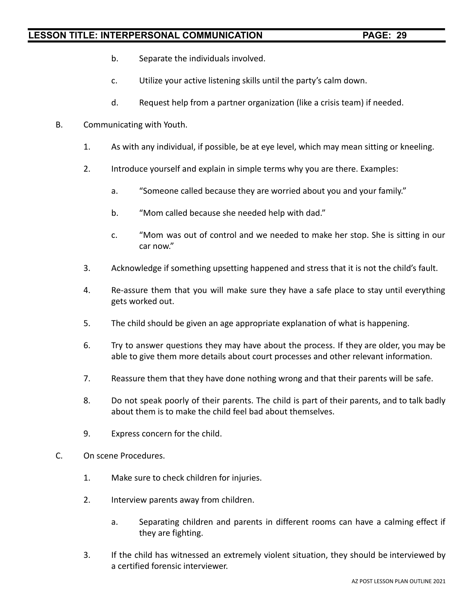- b. Separate the individuals involved.
- c. Utilize your active listening skills until the party's calm down.
- d. Request help from a partner organization (like a crisis team) if needed.
- B. Communicating with Youth.
	- 1. As with any individual, if possible, be at eye level, which may mean sitting or kneeling.
	- 2. Introduce yourself and explain in simple terms why you are there. Examples:
		- a. "Someone called because they are worried about you and your family."
		- b. "Mom called because she needed help with dad."
		- c. "Mom was out of control and we needed to make her stop. She is sitting in our car now."
	- 3. Acknowledge if something upsetting happened and stress that it is not the child's fault.
	- 4. Re-assure them that you will make sure they have a safe place to stay until everything gets worked out.
	- 5. The child should be given an age appropriate explanation of what is happening.
	- 6. Try to answer questions they may have about the process. If they are older, you may be able to give them more details about court processes and other relevant information.
	- 7. Reassure them that they have done nothing wrong and that their parents will be safe.
	- 8. Do not speak poorly of their parents. The child is part of their parents, and to talk badly about them is to make the child feel bad about themselves.
	- 9. Express concern for the child.
- C. On scene Procedures.
	- 1. Make sure to check children for injuries.
	- 2. Interview parents away from children.
		- a. Separating children and parents in different rooms can have a calming effect if they are fighting.
	- 3. If the child has witnessed an extremely violent situation, they should be interviewed by a certified forensic interviewer.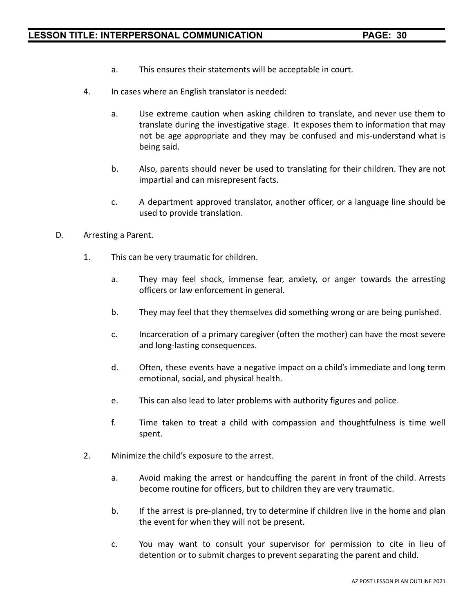- a. This ensures their statements will be acceptable in court.
- 4. In cases where an English translator is needed:
	- a. Use extreme caution when asking children to translate, and never use them to translate during the investigative stage. It exposes them to information that may not be age appropriate and they may be confused and mis-understand what is being said.
	- b. Also, parents should never be used to translating for their children. They are not impartial and can misrepresent facts.
	- c. A department approved translator, another officer, or a language line should be used to provide translation.
- D. Arresting a Parent.
	- 1. This can be very traumatic for children.
		- a. They may feel shock, immense fear, anxiety, or anger towards the arresting officers or law enforcement in general.
		- b. They may feel that they themselves did something wrong or are being punished.
		- c. Incarceration of a primary caregiver (often the mother) can have the most severe and long-lasting consequences.
		- d. Often, these events have a negative impact on a child's immediate and long term emotional, social, and physical health.
		- e. This can also lead to later problems with authority figures and police.
		- f. Time taken to treat a child with compassion and thoughtfulness is time well spent.
	- 2. Minimize the child's exposure to the arrest.
		- a. Avoid making the arrest or handcuffing the parent in front of the child. Arrests become routine for officers, but to children they are very traumatic.
		- b. If the arrest is pre-planned, try to determine if children live in the home and plan the event for when they will not be present.
		- c. You may want to consult your supervisor for permission to cite in lieu of detention or to submit charges to prevent separating the parent and child.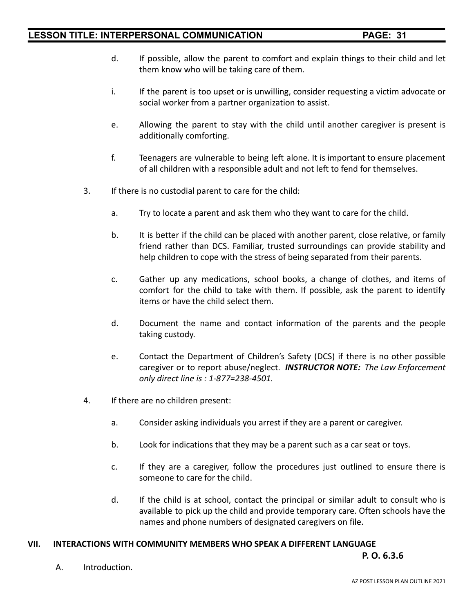- d. If possible, allow the parent to comfort and explain things to their child and let them know who will be taking care of them.
- i. If the parent is too upset or is unwilling, consider requesting a victim advocate or social worker from a partner organization to assist.
- e. Allowing the parent to stay with the child until another caregiver is present is additionally comforting.
- f. Teenagers are vulnerable to being left alone. It is important to ensure placement of all children with a responsible adult and not left to fend for themselves.
- 3. If there is no custodial parent to care for the child:
	- a. Try to locate a parent and ask them who they want to care for the child.
	- b. It is better if the child can be placed with another parent, close relative, or family friend rather than DCS. Familiar, trusted surroundings can provide stability and help children to cope with the stress of being separated from their parents.
	- c. Gather up any medications, school books, a change of clothes, and items of comfort for the child to take with them. If possible, ask the parent to identify items or have the child select them.
	- d. Document the name and contact information of the parents and the people taking custody.
	- e. Contact the Department of Children's Safety (DCS) if there is no other possible caregiver or to report abuse/neglect. *INSTRUCTOR NOTE: The Law Enforcement only direct line is : 1-877=238-4501.*
- 4. If there are no children present:
	- a. Consider asking individuals you arrest if they are a parent or caregiver.
	- b. Look for indications that they may be a parent such as a car seat or toys.
	- c. If they are a caregiver, follow the procedures just outlined to ensure there is someone to care for the child.
	- d. If the child is at school, contact the principal or similar adult to consult who is available to pick up the child and provide temporary care. Often schools have the names and phone numbers of designated caregivers on file.

#### **VII. INTERACTIONS WITH COMMUNITY MEMBERS WHO SPEAK A DIFFERENT LANGUAGE**

**P. O. 6.3.6**

A. Introduction.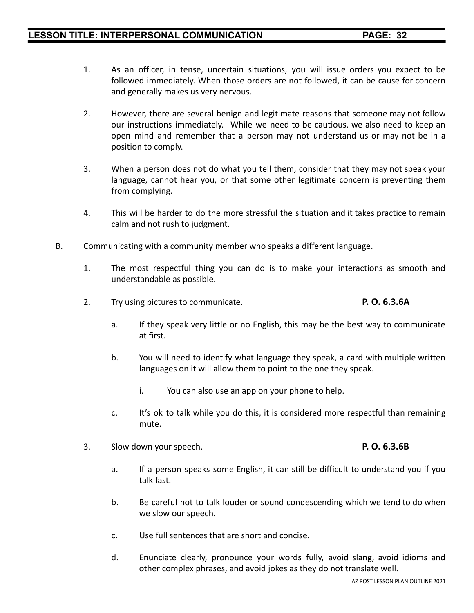- 1. As an officer, in tense, uncertain situations, you will issue orders you expect to be followed immediately. When those orders are not followed, it can be cause for concern and generally makes us very nervous.
- 2. However, there are several benign and legitimate reasons that someone may not follow our instructions immediately. While we need to be cautious, we also need to keep an open mind and remember that a person may not understand us or may not be in a position to comply.
- 3. When a person does not do what you tell them, consider that they may not speak your language, cannot hear you, or that some other legitimate concern is preventing them from complying.
- 4. This will be harder to do the more stressful the situation and it takes practice to remain calm and not rush to judgment.
- B. Communicating with a community member who speaks a different language.
	- 1. The most respectful thing you can do is to make your interactions as smooth and understandable as possible.
	- 2. Try using pictures to communicate. **P. O. 6.3.6A**
		- a. If they speak very little or no English, this may be the best way to communicate at first.
		- b. You will need to identify what language they speak, a card with multiple written languages on it will allow them to point to the one they speak.
			- i. You can also use an app on your phone to help.
		- c. It's ok to talk while you do this, it is considered more respectful than remaining mute.
	- 3. Slow down your speech. **P. O. 6.3.6B**
		- a. If a person speaks some English, it can still be difficult to understand you if you talk fast.
		- b. Be careful not to talk louder or sound condescending which we tend to do when we slow our speech.
		- c. Use full sentences that are short and concise.
		- d. Enunciate clearly, pronounce your words fully, avoid slang, avoid idioms and other complex phrases, and avoid jokes as they do not translate well.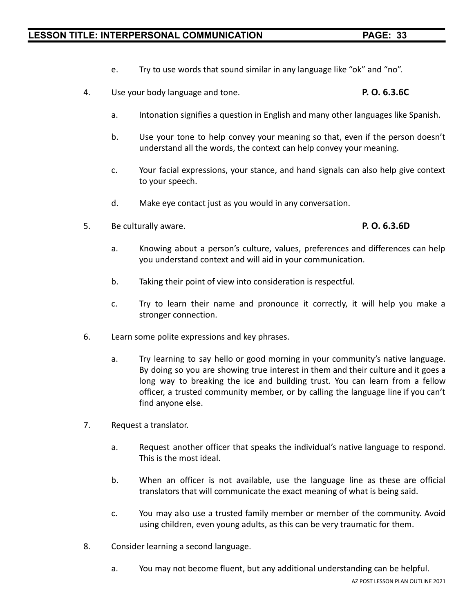- e. Try to use words that sound similar in any language like "ok" and "no".
- 4. Use your body language and tone. **P. O. 6.3.6C**
	- a. Intonation signifies a question in English and many other languages like Spanish.
	- b. Use your tone to help convey your meaning so that, even if the person doesn't understand all the words, the context can help convey your meaning.
	- c. Your facial expressions, your stance, and hand signals can also help give context to your speech.
	- d. Make eye contact just as you would in any conversation.
- 5. Be culturally aware. **P. O. 6.3.6D**

- a. Knowing about a person's culture, values, preferences and differences can help you understand context and will aid in your communication.
- b. Taking their point of view into consideration is respectful.
- c. Try to learn their name and pronounce it correctly, it will help you make a stronger connection.
- 6. Learn some polite expressions and key phrases.
	- a. Try learning to say hello or good morning in your community's native language. By doing so you are showing true interest in them and their culture and it goes a long way to breaking the ice and building trust. You can learn from a fellow officer, a trusted community member, or by calling the language line if you can't find anyone else.
- 7. Request a translator.
	- a. Request another officer that speaks the individual's native language to respond. This is the most ideal.
	- b. When an officer is not available, use the language line as these are official translators that will communicate the exact meaning of what is being said.
	- c. You may also use a trusted family member or member of the community. Avoid using children, even young adults, as this can be very traumatic for them.
- 8. Consider learning a second language.
	- a. You may not become fluent, but any additional understanding can be helpful.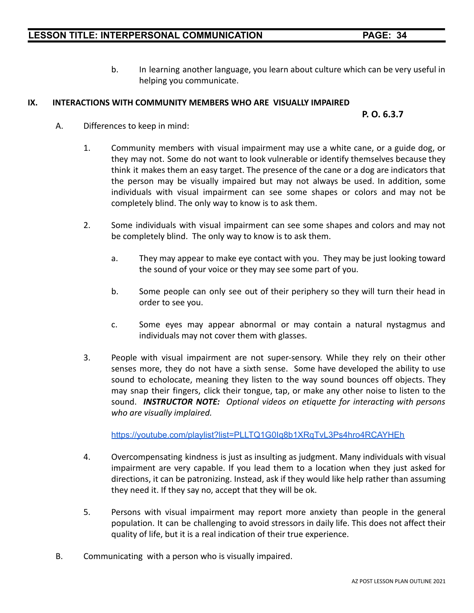b. In learning another language, you learn about culture which can be very useful in helping you communicate.

### **IX. INTERACTIONS WITH COMMUNITY MEMBERS WHO ARE VISUALLY IMPAIRED**

#### **P. O. 6.3.7**

- A. Differences to keep in mind:
	- 1. Community members with visual impairment may use a white cane, or a guide dog, or they may not. Some do not want to look vulnerable or identify themselves because they think it makes them an easy target. The presence of the cane or a dog are indicators that the person may be visually impaired but may not always be used. In addition, some individuals with visual impairment can see some shapes or colors and may not be completely blind. The only way to know is to ask them.
	- 2. Some individuals with visual impairment can see some shapes and colors and may not be completely blind. The only way to know is to ask them.
		- a. They may appear to make eye contact with you. They may be just looking toward the sound of your voice or they may see some part of you.
		- b. Some people can only see out of their periphery so they will turn their head in order to see you.
		- c. Some eyes may appear abnormal or may contain a natural nystagmus and individuals may not cover them with glasses.
	- 3. People with visual impairment are not super-sensory. While they rely on their other senses more, they do not have a sixth sense. Some have developed the ability to use sound to echolocate, meaning they listen to the way sound bounces off objects. They may snap their fingers, click their tongue, tap, or make any other noise to listen to the sound. *INSTRUCTOR NOTE: Optional videos on etiquette for interacting with persons who are visually implaired.*

<https://youtube.com/playlist?list=PLLTQ1G0Iq8b1XRqTvL3Ps4hro4RCAYHEh>

- 4. Overcompensating kindness is just as insulting as judgment. Many individuals with visual impairment are very capable. If you lead them to a location when they just asked for directions, it can be patronizing. Instead, ask if they would like help rather than assuming they need it. If they say no, accept that they will be ok.
- 5. Persons with visual impairment may report more anxiety than people in the general population. It can be challenging to avoid stressors in daily life. This does not affect their quality of life, but it is a real indication of their true experience.
- B. Communicating with a person who is visually impaired.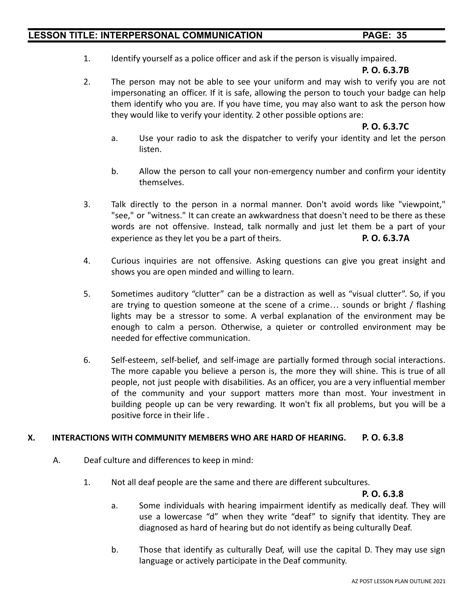1. Identify yourself as a police officer and ask if the person is visually impaired.

#### **P. O. 6.3.7B**

2. The person may not be able to see your uniform and may wish to verify you are not impersonating an officer. If it is safe, allowing the person to touch your badge can help them identify who you are. If you have time, you may also want to ask the person how they would like to verify your identity. 2 other possible options are:

#### **P. O. 6.3.7C**

- a. Use your radio to ask the dispatcher to verify your identity and let the person listen.
- b. Allow the person to call your non-emergency number and confirm your identity themselves.
- 3. Talk directly to the person in a normal manner. Don't avoid words like "viewpoint," "see," or "witness." It can create an awkwardness that doesn't need to be there as these words are not offensive. Instead, talk normally and just let them be a part of your experience as they let you be a part of theirs. **P. O. 6.3.7A**
- 4. Curious inquiries are not offensive. Asking questions can give you great insight and shows you are open minded and willing to learn.
- 5. Sometimes auditory "clutter" can be a distraction as well as "visual clutter". So, if you are trying to question someone at the scene of a crime… sounds or bright / flashing lights may be a stressor to some. A verbal explanation of the environment may be enough to calm a person. Otherwise, a quieter or controlled environment may be needed for effective communication.
- 6. Self-esteem, self-belief, and self-image are partially formed through social interactions. The more capable you believe a person is, the more they will shine. This is true of all people, not just people with disabilities. As an officer, you are a very influential member of the community and your support matters more than most. Your investment in building people up can be very rewarding. It won't fix all problems, but you will be a positive force in their life .

#### **X. INTERACTIONS WITH COMMUNITY MEMBERS WHO ARE HARD OF HEARING. P. O. 6.3.8**

- A. Deaf culture and differences to keep in mind:
	- 1. Not all deaf people are the same and there are different subcultures.

### **P. O. 6.3.8**

- a. Some individuals with hearing impairment identify as medically deaf. They will use a lowercase "d" when they write "deaf" to signify that identity. They are diagnosed as hard of hearing but do not identify as being culturally Deaf.
- b. Those that identify as culturally Deaf, will use the capital D. They may use sign language or actively participate in the Deaf community.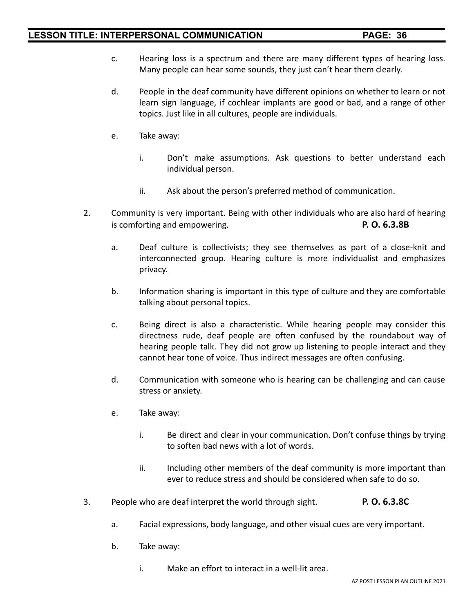- c. Hearing loss is a spectrum and there are many different types of hearing loss. Many people can hear some sounds, they just can't hear them clearly.
- d. People in the deaf community have different opinions on whether to learn or not learn sign language, if cochlear implants are good or bad, and a range of other topics. Just like in all cultures, people are individuals.
- e. Take away:
	- i. Don't make assumptions. Ask questions to better understand each individual person.
	- ii. Ask about the person's preferred method of communication.
- 2. Community is very important. Being with other individuals who are also hard of hearing is comforting and empowering. **P. O. 6.3.8B**
	- a. Deaf culture is collectivists; they see themselves as part of a close-knit and interconnected group. Hearing culture is more individualist and emphasizes privacy.
	- b. Information sharing is important in this type of culture and they are comfortable talking about personal topics.
	- c. Being direct is also a characteristic. While hearing people may consider this directness rude, deaf people are often confused by the roundabout way of hearing people talk. They did not grow up listening to people interact and they cannot hear tone of voice. Thus indirect messages are often confusing.
	- d. Communication with someone who is hearing can be challenging and can cause stress or anxiety.
	- e. Take away:
		- i. Be direct and clear in your communication. Don't confuse things by trying to soften bad news with a lot of words.
		- ii. Including other members of the deaf community is more important than ever to reduce stress and should be considered when safe to do so.
- 3. People who are deaf interpret the world through sight. **P. O. 6.3.8C**
	- a. Facial expressions, body language, and other visual cues are very important.
	- b. Take away:
		- i. Make an effort to interact in a well-lit area.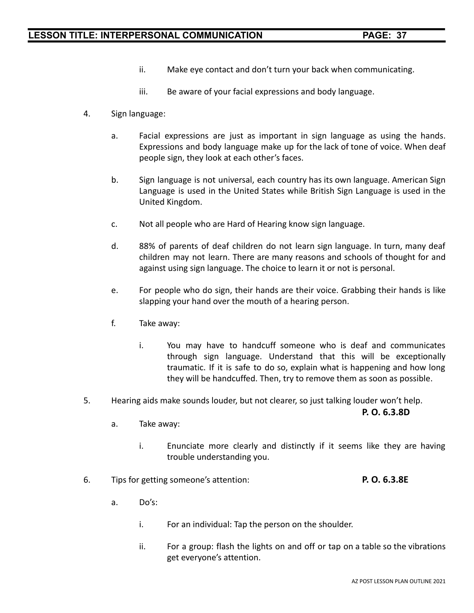- ii. Make eye contact and don't turn your back when communicating.
- iii. Be aware of your facial expressions and body language.
- 4. Sign language:
	- a. Facial expressions are just as important in sign language as using the hands. Expressions and body language make up for the lack of tone of voice. When deaf people sign, they look at each other's faces.
	- b. Sign language is not universal, each country has its own language. American Sign Language is used in the United States while British Sign Language is used in the United Kingdom.
	- c. Not all people who are Hard of Hearing know sign language.
	- d. 88% of parents of deaf children do not learn sign language. In turn, many deaf children may not learn. There are many reasons and schools of thought for and against using sign language. The choice to learn it or not is personal.
	- e. For people who do sign, their hands are their voice. Grabbing their hands is like slapping your hand over the mouth of a hearing person.
	- f. Take away:
		- i. You may have to handcuff someone who is deaf and communicates through sign language. Understand that this will be exceptionally traumatic. If it is safe to do so, explain what is happening and how long they will be handcuffed. Then, try to remove them as soon as possible.
- 5. Hearing aids make sounds louder, but not clearer, so just talking louder won't help.

**P. O. 6.3.8D**

- a. Take away:
	- i. Enunciate more clearly and distinctly if it seems like they are having trouble understanding you.
- 6. Tips for getting someone's attention: **P. O. 6.3.8E**
	- a. Do's:
		- i. For an individual: Tap the person on the shoulder.
		- ii. For a group: flash the lights on and off or tap on a table so the vibrations get everyone's attention.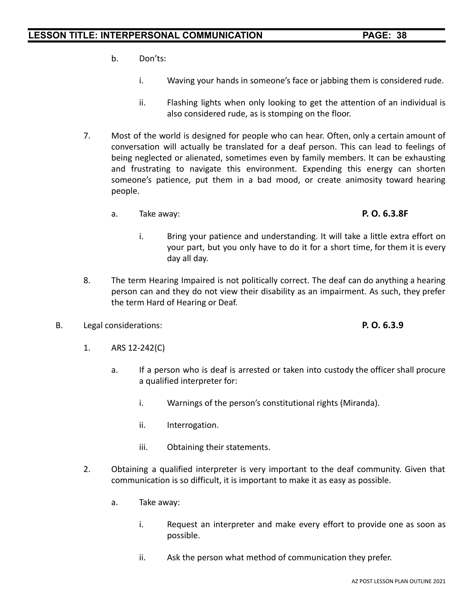- b. Don'ts:
	- i. Waving your hands in someone's face or jabbing them is considered rude.
	- ii. Flashing lights when only looking to get the attention of an individual is also considered rude, as is stomping on the floor.
- 7. Most of the world is designed for people who can hear. Often, only a certain amount of conversation will actually be translated for a deaf person. This can lead to feelings of being neglected or alienated, sometimes even by family members. It can be exhausting and frustrating to navigate this environment. Expending this energy can shorten someone's patience, put them in a bad mood, or create animosity toward hearing people.
	- a. Take away: **P. O. 6.3.8F**
		- i. Bring your patience and understanding. It will take a little extra effort on your part, but you only have to do it for a short time, for them it is every day all day.
- 8. The term Hearing Impaired is not politically correct. The deaf can do anything a hearing person can and they do not view their disability as an impairment. As such, they prefer the term Hard of Hearing or Deaf.
- B. Legal considerations: **P. O. 6.3.9**

- 1. ARS 12-242(C)
	- a. If a person who is deaf is arrested or taken into custody the officer shall procure a qualified interpreter for:
		- i. Warnings of the person's constitutional rights (Miranda).
		- ii. Interrogation.
		- iii. Obtaining their statements.
- 2. Obtaining a qualified interpreter is very important to the deaf community. Given that communication is so difficult, it is important to make it as easy as possible.
	- a. Take away:
		- i. Request an interpreter and make every effort to provide one as soon as possible.
		- ii. Ask the person what method of communication they prefer.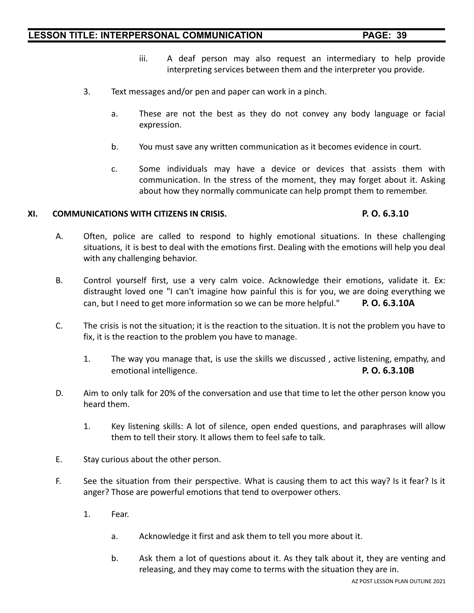- iii. A deaf person may also request an intermediary to help provide interpreting services between them and the interpreter you provide.
- 3. Text messages and/or pen and paper can work in a pinch.
	- a. These are not the best as they do not convey any body language or facial expression.
	- b. You must save any written communication as it becomes evidence in court.
	- c. Some individuals may have a device or devices that assists them with communication. In the stress of the moment, they may forget about it. Asking about how they normally communicate can help prompt them to remember.

#### **XI. COMMUNICATIONS WITH CITIZENS IN CRISIS. P. O. 6.3.10**

- A. Often, police are called to respond to highly emotional situations. In these challenging situations, it is best to deal with the emotions first. Dealing with the emotions will help you deal with any challenging behavior.
- B. Control yourself first, use a very calm voice. Acknowledge their emotions, validate it. Ex: distraught loved one "I can't imagine how painful this is for you, we are doing everything we can, but I need to get more information so we can be more helpful." **P. O. 6.3.10A**
- C. The crisis is not the situation; it is the reaction to the situation. It is not the problem you have to fix, it is the reaction to the problem you have to manage.
	- 1. The way you manage that, is use the skills we discussed , active listening, empathy, and emotional intelligence. **P. O. 6.3.10B**
- D. Aim to only talk for 20% of the conversation and use that time to let the other person know you heard them.
	- 1. Key listening skills: A lot of silence, open ended questions, and paraphrases will allow them to tell their story. It allows them to feel safe to talk.
- E. Stay curious about the other person.
- F. See the situation from their perspective. What is causing them to act this way? Is it fear? Is it anger? Those are powerful emotions that tend to overpower others.
	- 1. Fear.
		- a. Acknowledge it first and ask them to tell you more about it.
		- b. Ask them a lot of questions about it. As they talk about it, they are venting and releasing, and they may come to terms with the situation they are in.